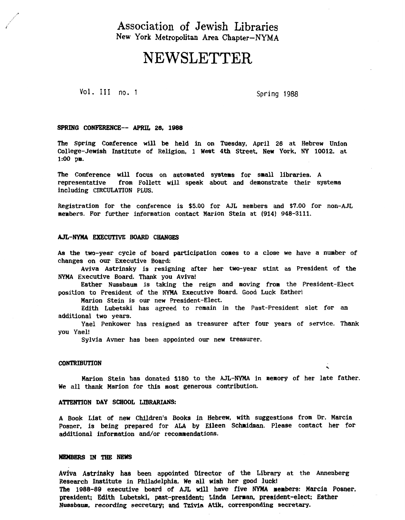# Association **of** Jewish Libraries **New York Metropolitan Area Chapter-NYMA**

# NEWSLETTER

Vol. I11 **no.** 1 Spring 1988

 $\ddot{\phantom{0}}$ 

#### **SPRING CONFERENCE--** *APRIL* **26, 1988**

The Spring Conference will **be** held in on Tuesday, April **26** at Hebrew Unlon College-Jewish Institute of Religion, 1 West **4th** Street, New York, *NY* **10012.** at **1:00** pm.

The Conference will focus on automated systems for small libraries. A representative from Pollett will speak about and demonstrate their systems including CIRCULATION PLUS.

Registration for the conference is *\$5.00* for AJL members and *\$7.00* for non-AJL members. **For** further information contact Marion Stein at **(914) 948-3111.** 

#### **AIL-NYMA EXECUTIVE** BOARD **CHANGES**

**As** the two-year cycle of board participation comes to a close we have a number of changes on our Executive Board:

Aviva Astrinsky is resigning after her two-year **stint** as President of the NYMA Executive Board. Thank you Aviva!

Esther Nussbaum is taking the reign and moving from the President-Elect position to President of the NYMA Executive Board. Good Luck Esther!

Marion Stein is **our** new President-Elect.

**Edith** Lubetski has agreed to remain in the Past-President slot for an additional two years.

Yael Penkower has resigned **as** treasurer after four years of service. Thank **you** Yael!

Sylvia Avner has been appointed our new treasurer.

#### **CONTRIBUTION**

Marion Stein has donated **\$180** to the AJL-NYMA in memory of her late father. We all *thank* Marion for **this** most generous contribution.

#### **ATTENTION DAY SCHOOL LIBRARIANS:**

**<sup>A</sup>**Book List of new CNldren's Books in Hebrew, with suggestions **from** Dr. Marcia Posner, **is** being prepared for ALA by Eileen **Schmidman.** Please contact her for additional information and/or recommendations.

# MEMBERS IN THE NEWS

**Aviva Astrinsky** has been appointed **Director** of the **Library** at the Annenberg Research Institute in Philadelphia. We **all** wish her good **luck!**  The **1988-89** executive **board** of *AJL* will have five **NYMA nerbers: Marcia** Posner, president; **Edith Lubetski,** past-president; Linda Lerran, president-elect; Esther *Nuasbarn, recording* **secretary; and hivia Am, corresponding secretary.**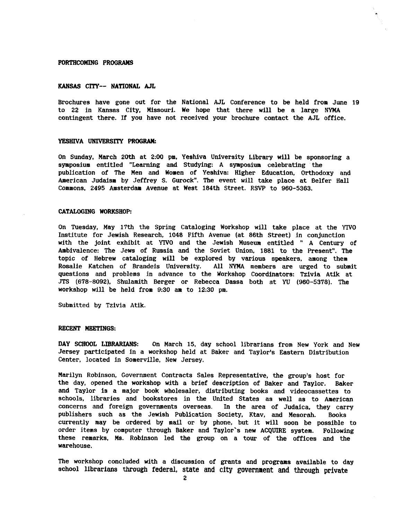#### **FORTHCOMING PROGRAMS**

## **KANSAS CITY-- NATIONAL AJL**

Brochures have gone out for the National AJL Conference to **be** held from June 19 to **22** in Kansas City, Missouri. We hope that there will **be** a large NYMA contingent there. **If** you have not received your brochure contact the AJL office.

#### YESHIVA UNIVERSITY PROGRAM:

On Sunday, March 20th at 2:00 pm, Yeshiva University Library will be sponsoring a symposlum entitled "Learning and Studying: **A symposium** celebrating the publication of The Men and Women of Yeshiva: Higher Education, Orthodoxy and American Judaism by Jeffrey S. Gurock". The event **will** take place at Belfer Hall Commons, 2495 Amsterdam Avenue at West 184th Street. RSVP to 960-5363.

#### **CATALOGING WORKSHOP:**

On Tuesday, May 17th the Spring Cataloging Workshop will take place at the **YIVO**  Institute for Jewish Research, **1048** Fifth Avenue (at 86th Street) in conjunction with the joint exhibit at **YIVO** and the Jewish Museum entitled " A Century of Ambivalence: The Jews of Russia and the Soviet Union, 1881 to the Present". The topic of Hebrew cataloging will be explored by various speakers, among them<br>Rosalie Katchen of Brandeis University. All NYMA members are urged to sub All NYMA members are urged to submit questions and problems in advance to the Workshop Coordinators: Tzivia **Atik** at JTS (678-8092). Shulamith Berger or Rebecca **Dassa** both at **W** (960-5378). The workshop will be held from 9:30 am to 12:30 pm.

Submitted by Tzivia Atik.

# **RECENT MEETINGS:**

**DAY** SCHOOL **LIBRARIANS:** On March 15, day school librarians from New **York** and New Jersey participated in a workshop held at Baker and Taylor's Eastern Distribution Center, located in Somerville, New Jersey.

**Marilyn** Robinson, Government Contracts Sales Representative, the group's host for the day, opened the workshop with a brief description of Baker and Taylor. Baker and Taylor is a major book wholesaler, distributing books and videocassettes to schools, libraries and bookstores in the United States as well **as** to American concerns and foreign governments overseas. In the area of Judaica, they carry publishers such as the Jewish Publication Society, Ktav, and Mesorah. Books currently may **be** ordered by **mall** or by phone, but **it** will soon be possible to order items by computer through Baker and Taylor's new ACQUIRE system. Following these remarks, **Ma.** Robinson led the group on a tour of **the** offices and the warehouse.

The workshop concluded with a discussion of grants and programs available to day school librarians **through** federal, state **and city government and through private**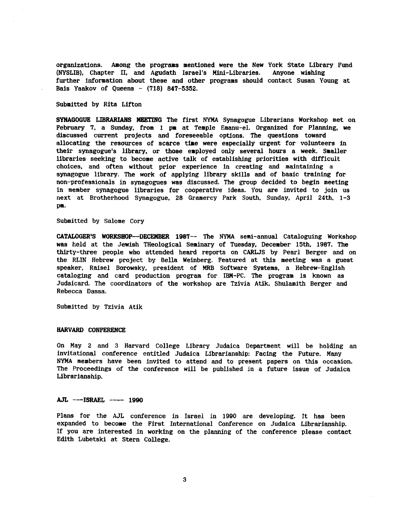organizations. Among the programs mentioned were the New York State Library Fund<br>(NYSLIB), Chapter II, and Agudath Israel's Mini-Libraries. Anyone wishing **(NYSLIB), Chapter II, and Agudath Israel's Mini-Libraries.** further information about these and other programs should contact Susan Young **at Bals** Yaakov of Queens - **(718) 847-5352.** 

#### Submitted by **Rita** Lifton

**SYNAGOGUE LIBRARIANS MEETING** The first NYMA Synagogue Librarians Workshop met on February 7, a Sunday, from 1 pm at Temple Emanu-el. Organized for Planning, we discussed current projects and foreseeable options. The questions toward allocating the resources of scarce time were especially urgent for volunteers in their synagogue's **library,** or those employed only **several** hours a week. Smaller llbrarles seeking to become active talk of establishing priorities with difficult choices, and often without prior experience in creating and maintaining a synagogue library. The work of applying library skills and of basic training for non-prof essionals in synagogues was discussed. The group decided to begin meeting in member synagogue libraries for cooperative ideas. You are invited to join us next at Brotherhood Synagogue, **28** Gramercy Park South, Sunday, April **24th. 1-3**  Pa-

Submitted by Salome Cory

**CATALOGER'S WORKSEOP-DECEMBER 1987--** The **NYMA** semi-annual Cataloguing Workshop was held at the Jewish THeological Seminary of Tuesday, December 15th. **1987.** The thirty-three people who attended heard reports on CARLJS by Pearl Berger and on the RLIN Hebrew project by Bella Weinberg. Featured at **this** meeting was **a** guest speaker, Raisel Borowsky, president of MRB Software Systems, a Hebrew-English cataloging and card production program for **IBM-PC.** The program **is** known as Judaicard. The coordinators of the workshop are Tzivia Atik, Shulamith Berger and Rebecca Dassa.

Submitted **by** Tzivia Atik

#### **HARVARD CONFERENCE**

On May **2** and **3** Harvard College Library Judaica Department will **be** holding an invitational conference entitled Judaica Librarianship: Facing the Future. **Many**  NYMA members have been invited to attend and to present papers on this occasion. The Proceedings **of** the conference will be published in a future issue of Judaica Librarianship.

# AJL ---ISRAEL ---- 1990

**Plans** for *the* **AJL** conference in Israel in 1990 are developing. It has been expanded to become the First International Conference on Judaica Librarianship. If you are interested in working on the planning of the conference please contact **Edith** Lubetski at Stern College.